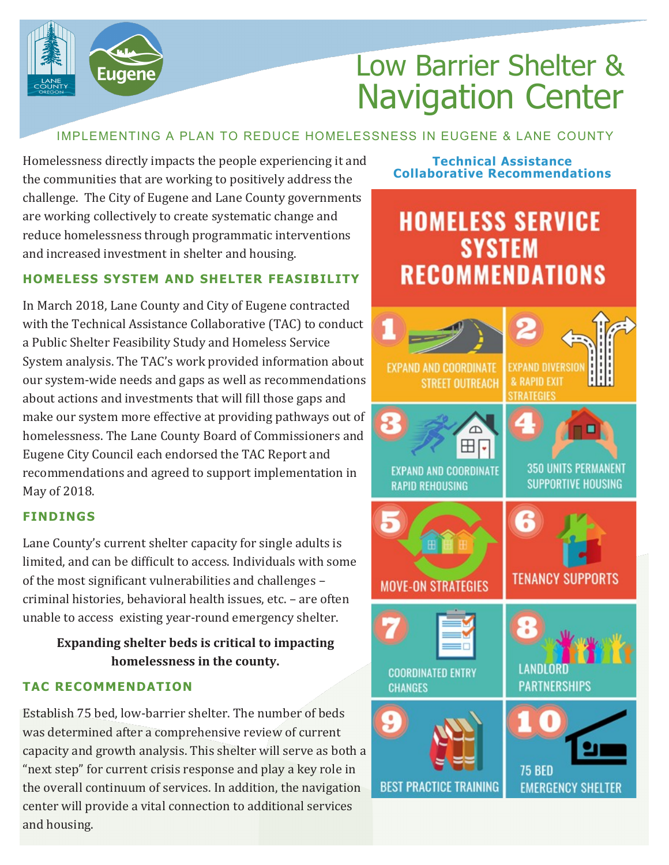

## IMPLEMENTING A PLAN TO REDUCE HOMELESSNESS IN EUGENE & LANE COUNTY

Homelessness directly impacts the people experiencing it and the communities that are working to positively address the challenge. The City of Eugene and Lane County governments are working collectively to create systematic change and reduce homelessness through programmatic interventions and increased investment in shelter and housing.

Eugene

## **HOMELESS SYSTEM AND SHELTER FEASIBILITY**

In March 2018, Lane County and City of Eugene contracted with the Technical Assistance Collaborative (TAC) to conduct a Public Shelter Feasibility Study and Homeless Service System analysis. The TAC's work provided information about our system-wide needs and gaps as well as recommendations about actions and investments that will fill those gaps and make our system more effective at providing pathways out of homelessness. The Lane County Board of Commissioners and Eugene City Council each endorsed the TAC Report and recommendations and agreed to support implementation in May of 2018.

### **FINDINGS**

Lane County's current shelter capacity for single adults is limited, and can be difficult to access. Individuals with some of the most significant vulnerabilities and challenges – criminal histories, behavioral health issues, etc. – are often unable to access existing year-round emergency shelter.

## **Expanding shelter beds is critical to impacting homelessness in the county.**

### **TAC RECOMMENDATION**

Establish 75 bed, low-barrier shelter. The number of beds was determined after a comprehensive review of current capacity and growth analysis. This shelter will serve as both a "next step" for current crisis response and play a key role in the overall continuum of services. In addition, the navigation center will provide a vital connection to additional services and housing.

#### **Technical Assistance Collaborative Recommendations**

# **HOMELESS SERVICE SYSTEM RECOMMENDATIONS**